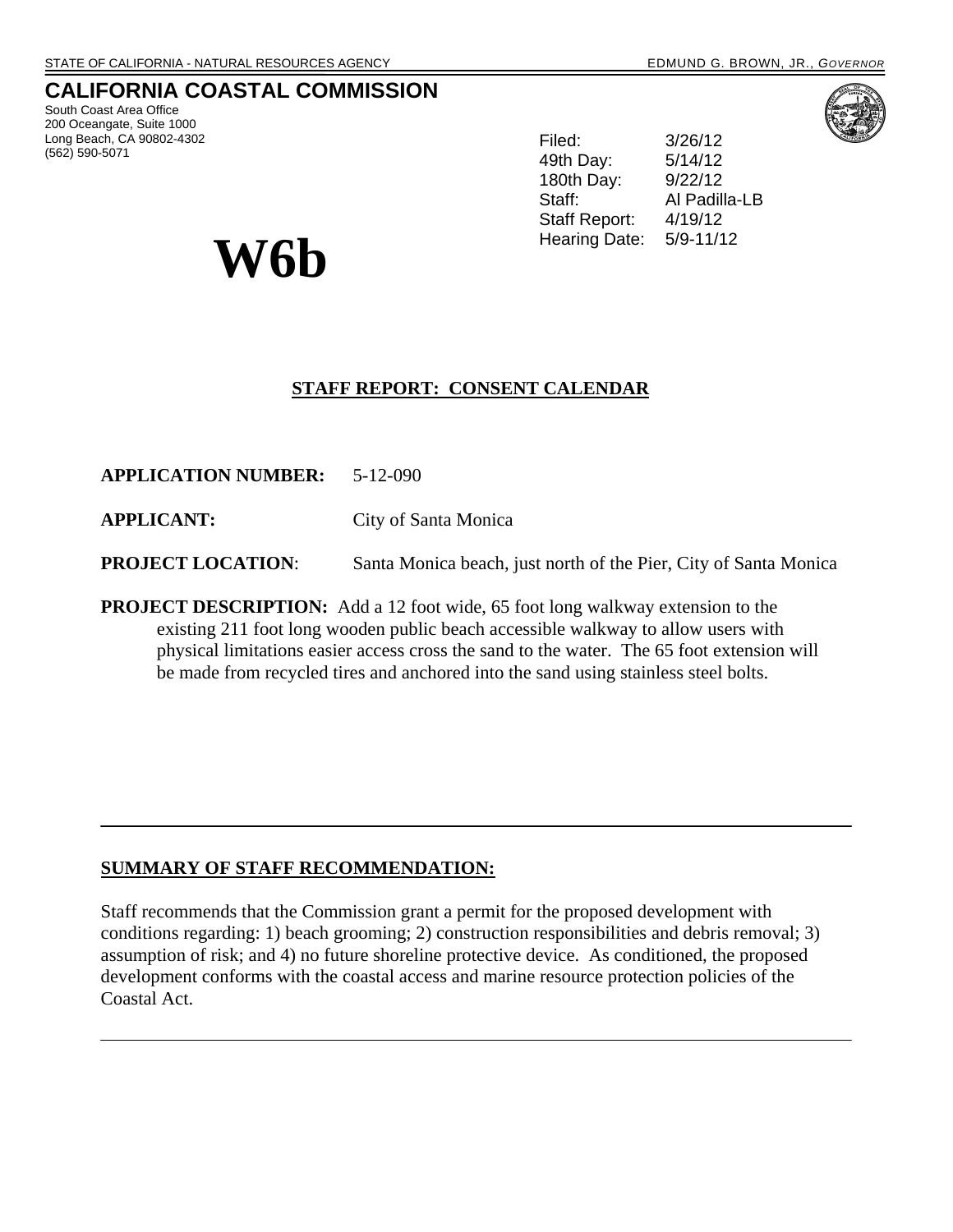# **CALIFORNIA COASTAL COMMISSION**

South Coast Area Office 200 Oceangate, Suite 1000 Long Beach, CA 90802-4302 (562) 590-5071

Filed: 3/26/12 49th Day: 5/14/12 180th Day: 9/22/12 Staff: Al Padilla-LB Staff Report: 4/19/12 Hearing Date: 5/9-11/12

# **STAFF REPORT: CONSENT CALENDAR**

**APPLICATION NUMBER:** 5-12-090

**W6b** 

**APPLICANT:** City of Santa Monica

**PROJECT LOCATION:** Santa Monica beach, just north of the Pier, City of Santa Monica

**PROJECT DESCRIPTION:** Add a 12 foot wide, 65 foot long walkway extension to the existing 211 foot long wooden public beach accessible walkway to allow users with physical limitations easier access cross the sand to the water. The 65 foot extension will be made from recycled tires and anchored into the sand using stainless steel bolts.

# **SUMMARY OF STAFF RECOMMENDATION:**

Staff recommends that the Commission grant a permit for the proposed development with conditions regarding: 1) beach grooming; 2) construction responsibilities and debris removal; 3) assumption of risk; and 4) no future shoreline protective device. As conditioned, the proposed development conforms with the coastal access and marine resource protection policies of the Coastal Act.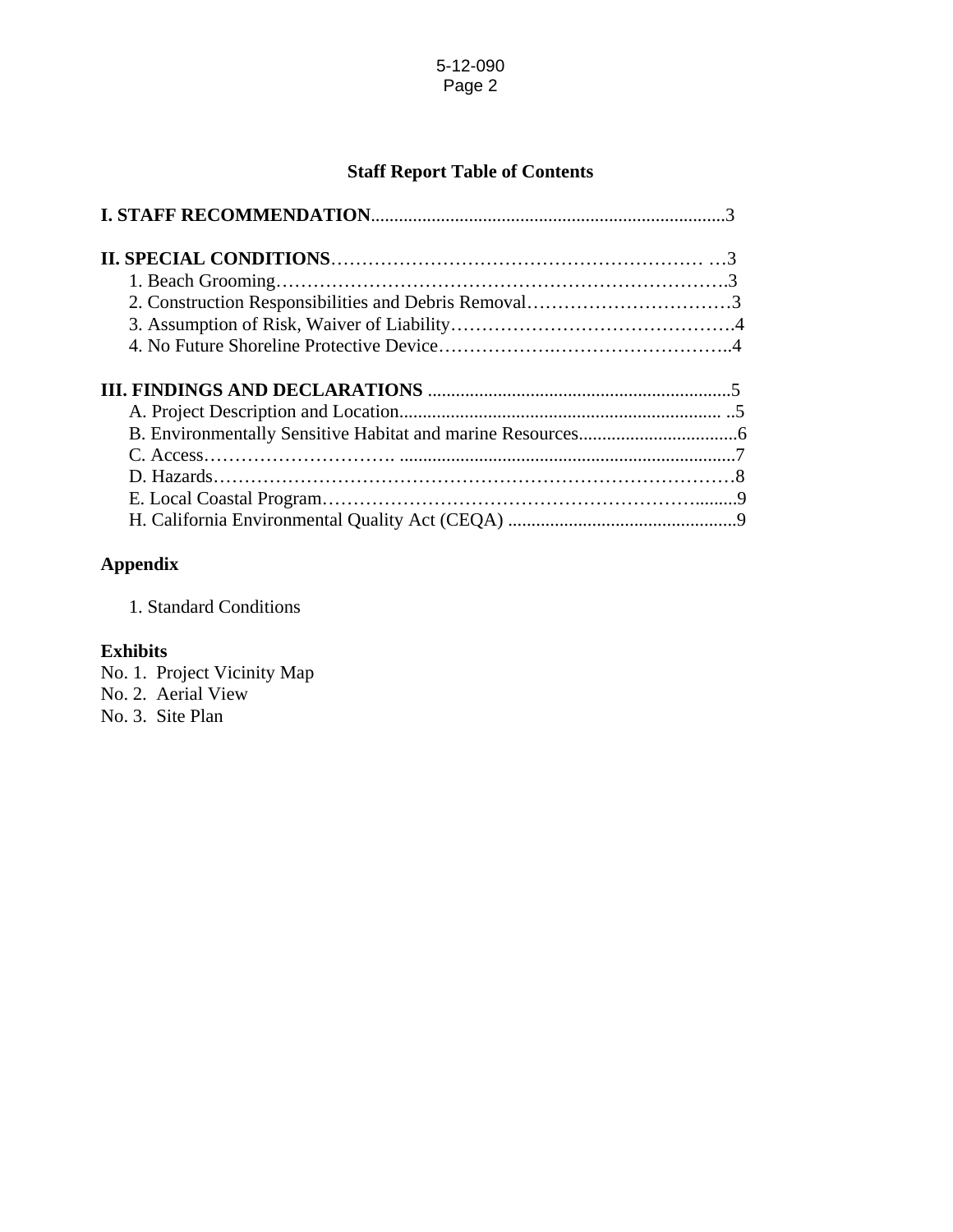# **Staff Report Table of Contents**

| 2. Construction Responsibilities and Debris Removal3 |  |
|------------------------------------------------------|--|
|                                                      |  |
|                                                      |  |
|                                                      |  |
|                                                      |  |
|                                                      |  |
|                                                      |  |
|                                                      |  |
|                                                      |  |

# **Appendix**

1. Standard Conditions

## **Exhibits**

- No. 1. Project Vicinity Map
- No. 2. Aerial View

No. 3. Site Plan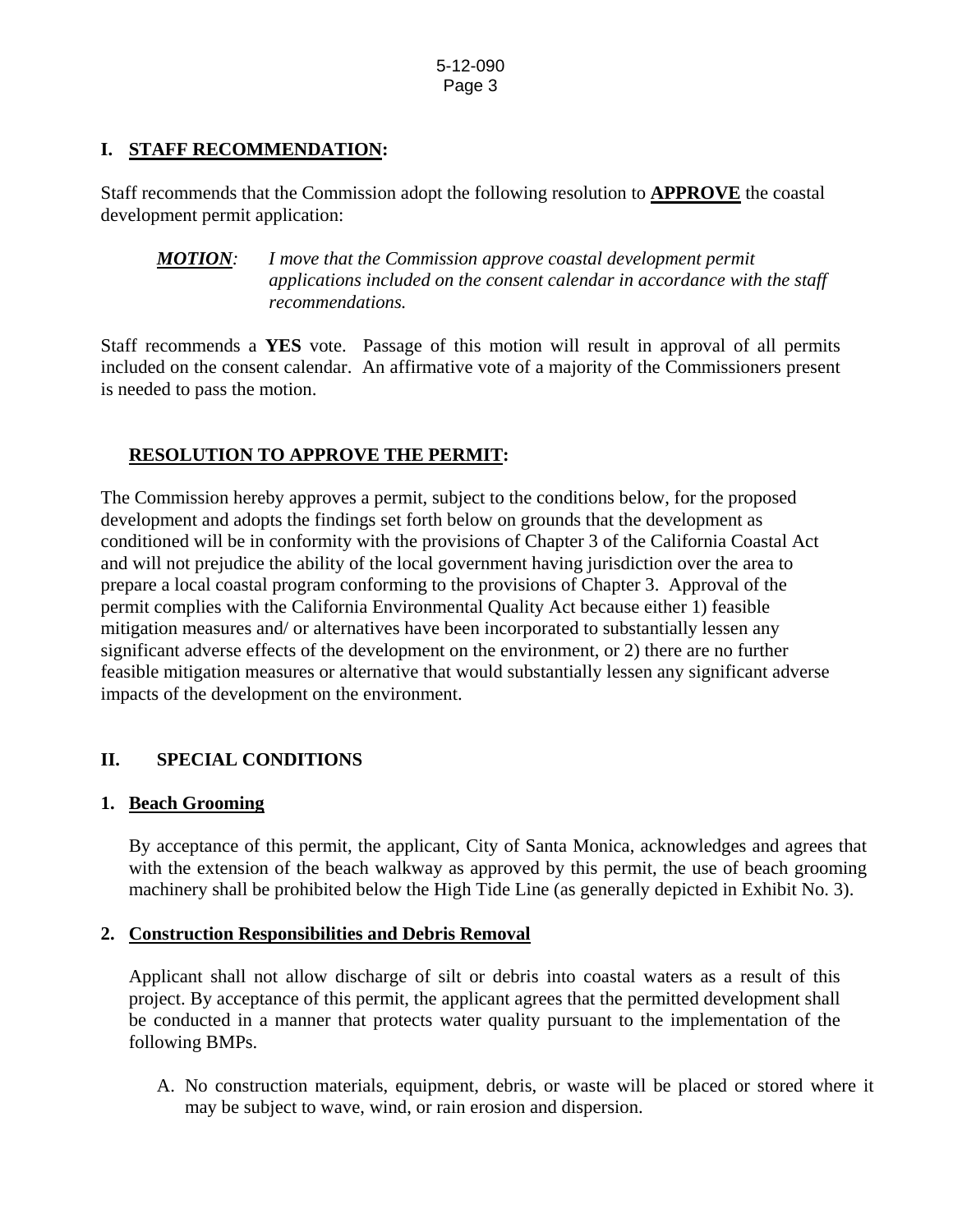# **I. STAFF RECOMMENDATION:**

Staff recommends that the Commission adopt the following resolution to **APPROVE** the coastal development permit application:

*MOTION: I move that the Commission approve coastal development permit applications included on the consent calendar in accordance with the staff recommendations.* 

Staff recommends a **YES** vote. Passage of this motion will result in approval of all permits included on the consent calendar. An affirmative vote of a majority of the Commissioners present is needed to pass the motion.

# **RESOLUTION TO APPROVE THE PERMIT:**

The Commission hereby approves a permit, subject to the conditions below, for the proposed development and adopts the findings set forth below on grounds that the development as conditioned will be in conformity with the provisions of Chapter 3 of the California Coastal Act and will not prejudice the ability of the local government having jurisdiction over the area to prepare a local coastal program conforming to the provisions of Chapter 3. Approval of the permit complies with the California Environmental Quality Act because either 1) feasible mitigation measures and/ or alternatives have been incorporated to substantially lessen any significant adverse effects of the development on the environment, or 2) there are no further feasible mitigation measures or alternative that would substantially lessen any significant adverse impacts of the development on the environment.

# **II. SPECIAL CONDITIONS**

# **1. Beach Grooming**

By acceptance of this permit, the applicant, City of Santa Monica, acknowledges and agrees that with the extension of the beach walkway as approved by this permit, the use of beach grooming machinery shall be prohibited below the High Tide Line (as generally depicted in Exhibit No. 3).

# **2. Construction Responsibilities and Debris Removal**

Applicant shall not allow discharge of silt or debris into coastal waters as a result of this project. By acceptance of this permit, the applicant agrees that the permitted development shall be conducted in a manner that protects water quality pursuant to the implementation of the following BMPs.

A. No construction materials, equipment, debris, or waste will be placed or stored where it may be subject to wave, wind, or rain erosion and dispersion.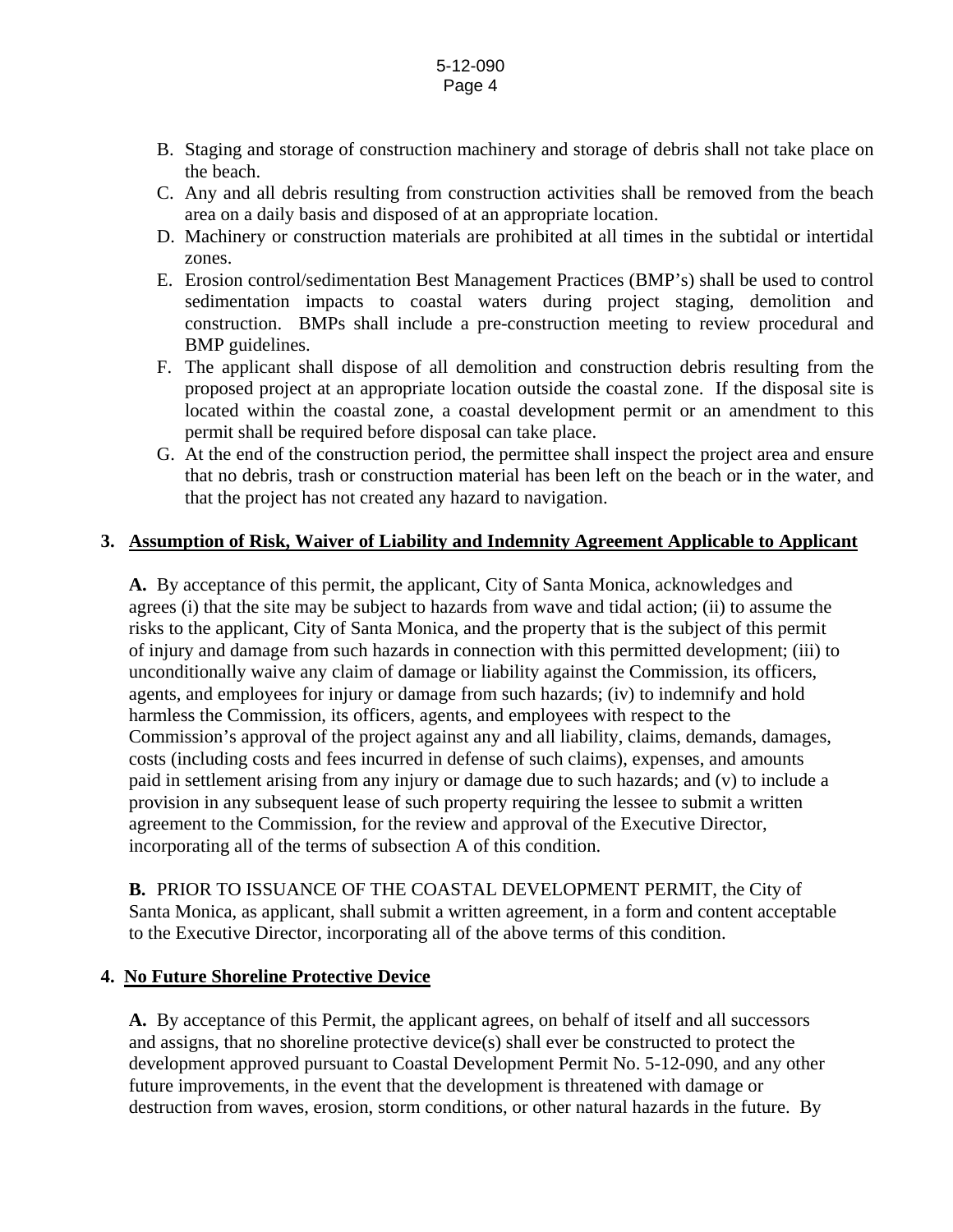- B. Staging and storage of construction machinery and storage of debris shall not take place on the beach.
- C. Any and all debris resulting from construction activities shall be removed from the beach area on a daily basis and disposed of at an appropriate location.
- D. Machinery or construction materials are prohibited at all times in the subtidal or intertidal zones.
- E. Erosion control/sedimentation Best Management Practices (BMP's) shall be used to control sedimentation impacts to coastal waters during project staging, demolition and construction. BMPs shall include a pre-construction meeting to review procedural and BMP guidelines.
- F. The applicant shall dispose of all demolition and construction debris resulting from the proposed project at an appropriate location outside the coastal zone. If the disposal site is located within the coastal zone, a coastal development permit or an amendment to this permit shall be required before disposal can take place.
- G. At the end of the construction period, the permittee shall inspect the project area and ensure that no debris, trash or construction material has been left on the beach or in the water, and that the project has not created any hazard to navigation.

## **3. Assumption of Risk, Waiver of Liability and Indemnity Agreement Applicable to Applicant**

**A.** By acceptance of this permit, the applicant, City of Santa Monica, acknowledges and agrees (i) that the site may be subject to hazards from wave and tidal action; (ii) to assume the risks to the applicant, City of Santa Monica, and the property that is the subject of this permit of injury and damage from such hazards in connection with this permitted development; (iii) to unconditionally waive any claim of damage or liability against the Commission, its officers, agents, and employees for injury or damage from such hazards; (iv) to indemnify and hold harmless the Commission, its officers, agents, and employees with respect to the Commission's approval of the project against any and all liability, claims, demands, damages, costs (including costs and fees incurred in defense of such claims), expenses, and amounts paid in settlement arising from any injury or damage due to such hazards; and (v) to include a provision in any subsequent lease of such property requiring the lessee to submit a written agreement to the Commission, for the review and approval of the Executive Director, incorporating all of the terms of subsection A of this condition.

**B.** PRIOR TO ISSUANCE OF THE COASTAL DEVELOPMENT PERMIT, the City of Santa Monica, as applicant, shall submit a written agreement, in a form and content acceptable to the Executive Director, incorporating all of the above terms of this condition.

### **4. No Future Shoreline Protective Device**

**A.** By acceptance of this Permit, the applicant agrees, on behalf of itself and all successors and assigns, that no shoreline protective device(s) shall ever be constructed to protect the development approved pursuant to Coastal Development Permit No. 5-12-090, and any other future improvements, in the event that the development is threatened with damage or destruction from waves, erosion, storm conditions, or other natural hazards in the future. By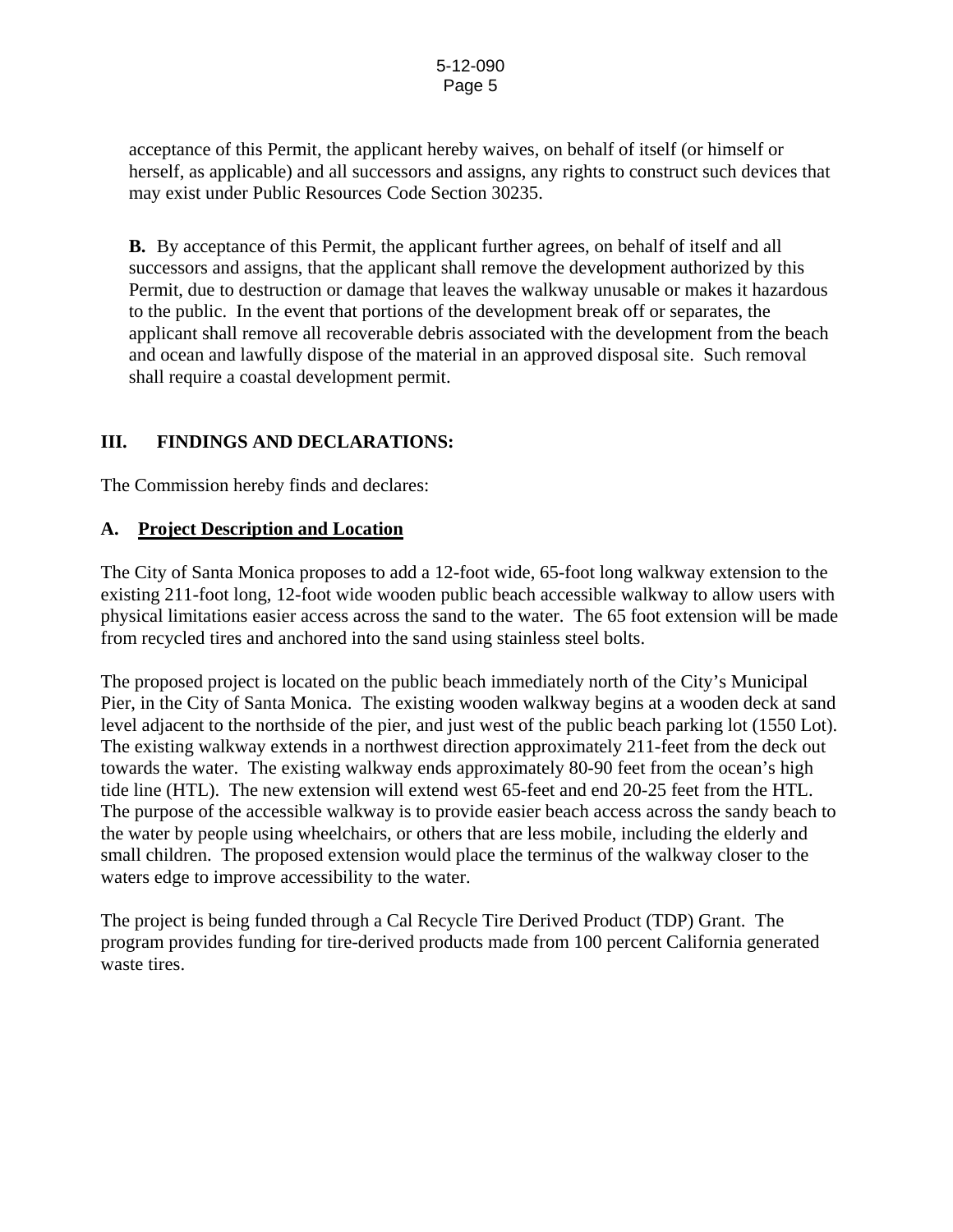acceptance of this Permit, the applicant hereby waives, on behalf of itself (or himself or herself, as applicable) and all successors and assigns, any rights to construct such devices that may exist under Public Resources Code Section 30235.

**B.** By acceptance of this Permit, the applicant further agrees, on behalf of itself and all successors and assigns, that the applicant shall remove the development authorized by this Permit, due to destruction or damage that leaves the walkway unusable or makes it hazardous to the public. In the event that portions of the development break off or separates, the applicant shall remove all recoverable debris associated with the development from the beach and ocean and lawfully dispose of the material in an approved disposal site. Such removal shall require a coastal development permit.

# **III. FINDINGS AND DECLARATIONS:**

The Commission hereby finds and declares:

# **A. Project Description and Location**

The City of Santa Monica proposes to add a 12-foot wide, 65-foot long walkway extension to the existing 211-foot long, 12-foot wide wooden public beach accessible walkway to allow users with physical limitations easier access across the sand to the water. The 65 foot extension will be made from recycled tires and anchored into the sand using stainless steel bolts.

The proposed project is located on the public beach immediately north of the City's Municipal Pier, in the City of Santa Monica. The existing wooden walkway begins at a wooden deck at sand level adjacent to the northside of the pier, and just west of the public beach parking lot (1550 Lot). The existing walkway extends in a northwest direction approximately 211-feet from the deck out towards the water. The existing walkway ends approximately 80-90 feet from the ocean's high tide line (HTL). The new extension will extend west 65-feet and end 20-25 feet from the HTL. The purpose of the accessible walkway is to provide easier beach access across the sandy beach to the water by people using wheelchairs, or others that are less mobile, including the elderly and small children. The proposed extension would place the terminus of the walkway closer to the waters edge to improve accessibility to the water.

The project is being funded through a Cal Recycle Tire Derived Product (TDP) Grant. The program provides funding for tire-derived products made from 100 percent California generated waste tires.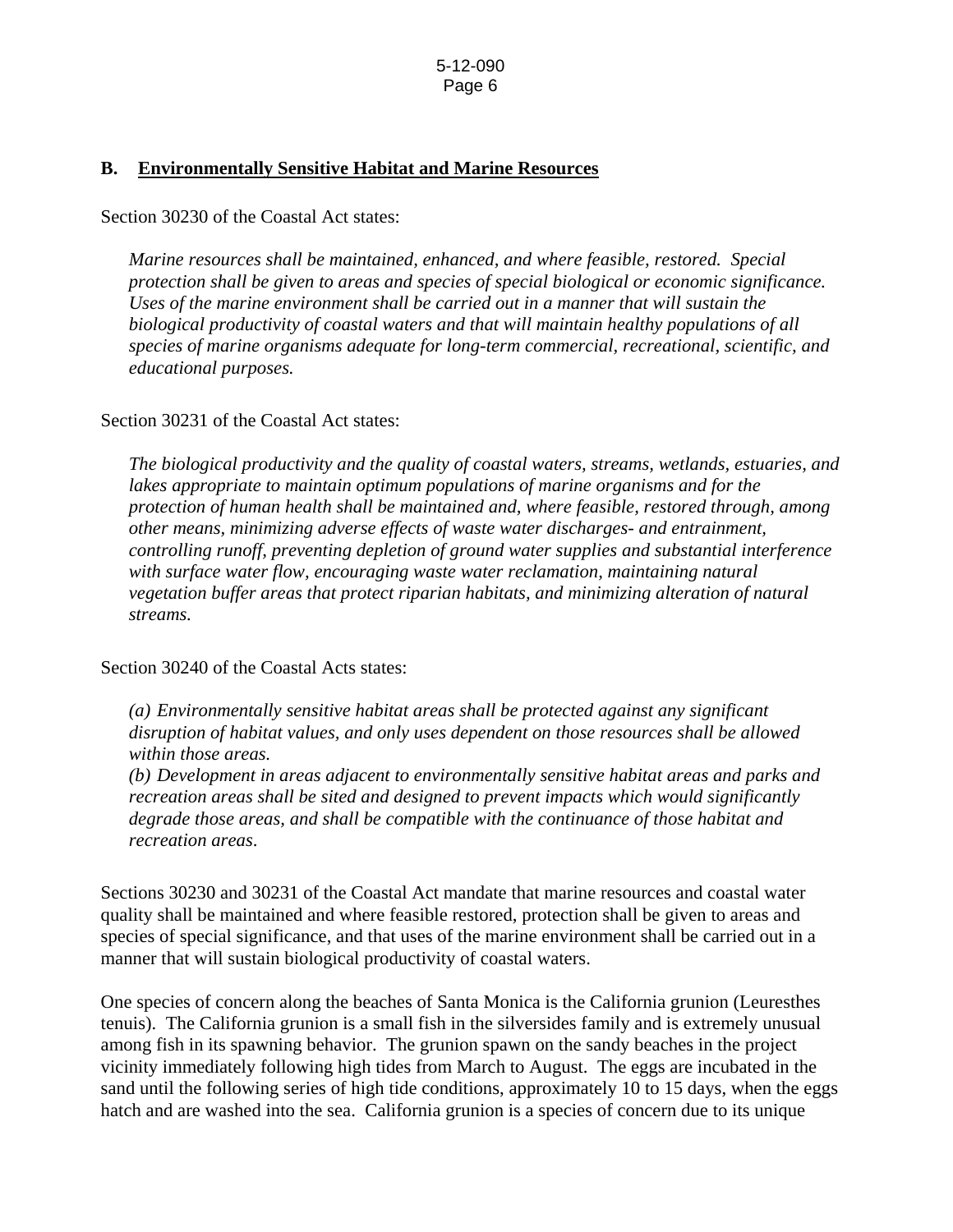## **B. Environmentally Sensitive Habitat and Marine Resources**

#### Section 30230 of the Coastal Act states:

*Marine resources shall be maintained, enhanced, and where feasible, restored. Special protection shall be given to areas and species of special biological or economic significance. Uses of the marine environment shall be carried out in a manner that will sustain the biological productivity of coastal waters and that will maintain healthy populations of all species of marine organisms adequate for long-term commercial, recreational, scientific, and educational purposes.* 

### Section 30231 of the Coastal Act states:

*The biological productivity and the quality of coastal waters, streams, wetlands, estuaries, and lakes appropriate to maintain optimum populations of marine organisms and for the protection of human health shall be maintained and, where feasible, restored through, among other means, minimizing adverse effects of waste water discharges- and entrainment, controlling runoff, preventing depletion of ground water supplies and substantial interference with surface water flow, encouraging waste water reclamation, maintaining natural vegetation buffer areas that protect riparian habitats, and minimizing alteration of natural streams.* 

### Section 30240 of the Coastal Acts states:

*(a) Environmentally sensitive habitat areas shall be protected against any significant disruption of habitat values, and only uses dependent on those resources shall be allowed within those areas.* 

*(b) Development in areas adjacent to environmentally sensitive habitat areas and parks and recreation areas shall be sited and designed to prevent impacts which would significantly degrade those areas, and shall be compatible with the continuance of those habitat and recreation areas*.

Sections 30230 and 30231 of the Coastal Act mandate that marine resources and coastal water quality shall be maintained and where feasible restored, protection shall be given to areas and species of special significance, and that uses of the marine environment shall be carried out in a manner that will sustain biological productivity of coastal waters.

One species of concern along the beaches of Santa Monica is the California grunion (Leuresthes tenuis). The California grunion is a small fish in the silversides family and is extremely unusual among fish in its spawning behavior. The grunion spawn on the sandy beaches in the project vicinity immediately following high tides from March to August. The eggs are incubated in the sand until the following series of high tide conditions, approximately 10 to 15 days, when the eggs hatch and are washed into the sea. California grunion is a species of concern due to its unique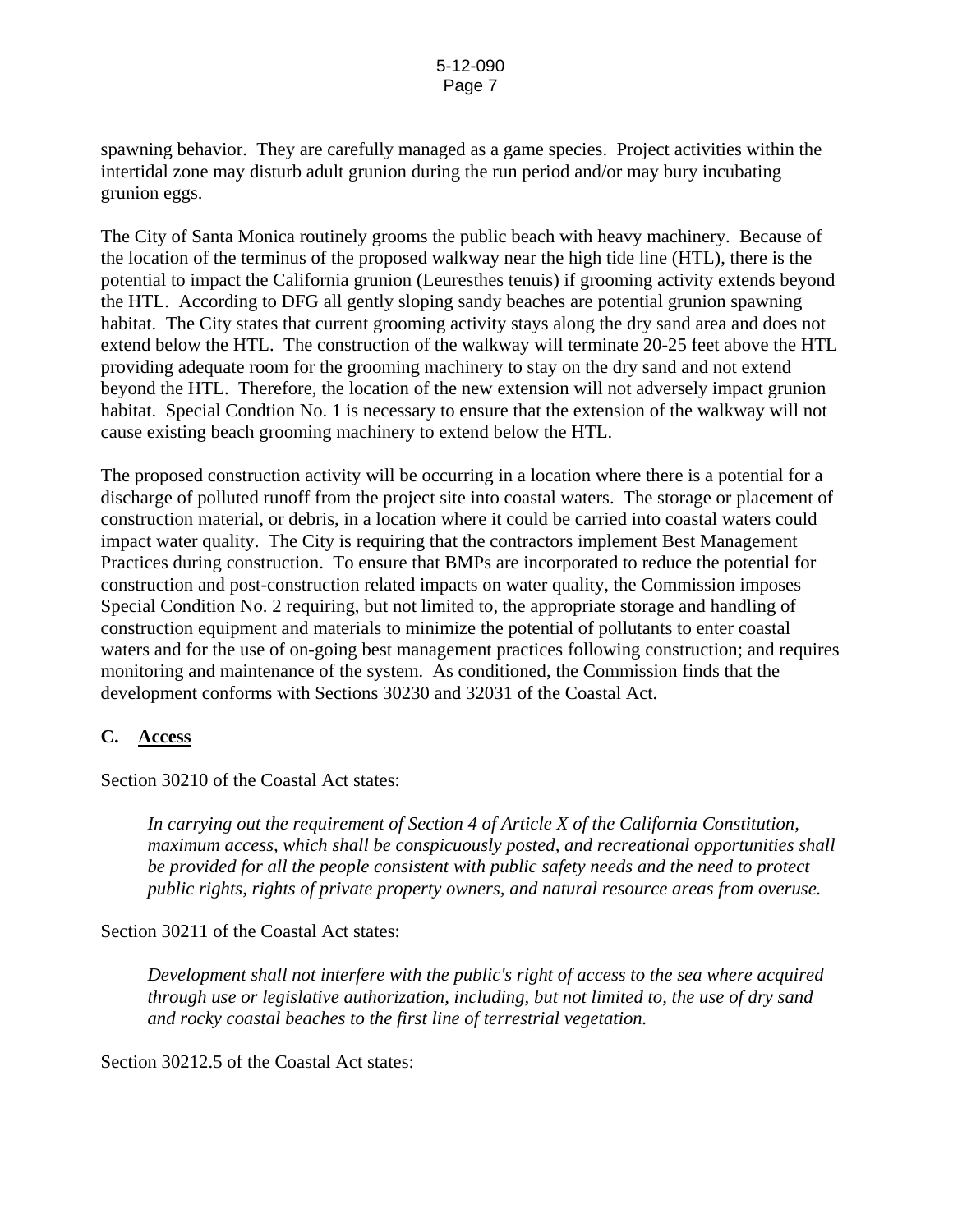spawning behavior. They are carefully managed as a game species. Project activities within the intertidal zone may disturb adult grunion during the run period and/or may bury incubating grunion eggs.

The City of Santa Monica routinely grooms the public beach with heavy machinery. Because of the location of the terminus of the proposed walkway near the high tide line (HTL), there is the potential to impact the California grunion (Leuresthes tenuis) if grooming activity extends beyond the HTL. According to DFG all gently sloping sandy beaches are potential grunion spawning habitat. The City states that current grooming activity stays along the dry sand area and does not extend below the HTL. The construction of the walkway will terminate 20-25 feet above the HTL providing adequate room for the grooming machinery to stay on the dry sand and not extend beyond the HTL. Therefore, the location of the new extension will not adversely impact grunion habitat. Special Condtion No. 1 is necessary to ensure that the extension of the walkway will not cause existing beach grooming machinery to extend below the HTL.

The proposed construction activity will be occurring in a location where there is a potential for a discharge of polluted runoff from the project site into coastal waters. The storage or placement of construction material, or debris, in a location where it could be carried into coastal waters could impact water quality. The City is requiring that the contractors implement Best Management Practices during construction. To ensure that BMPs are incorporated to reduce the potential for construction and post-construction related impacts on water quality, the Commission imposes Special Condition No. 2 requiring, but not limited to, the appropriate storage and handling of construction equipment and materials to minimize the potential of pollutants to enter coastal waters and for the use of on-going best management practices following construction; and requires monitoring and maintenance of the system. As conditioned, the Commission finds that the development conforms with Sections 30230 and 32031 of the Coastal Act.

# **C. Access**

Section 30210 of the Coastal Act states:

*In carrying out the requirement of Section 4 of Article X of the California Constitution, maximum access, which shall be conspicuously posted, and recreational opportunities shall be provided for all the people consistent with public safety needs and the need to protect public rights, rights of private property owners, and natural resource areas from overuse.* 

### Section 30211 of the Coastal Act states:

*Development shall not interfere with the public's right of access to the sea where acquired through use or legislative authorization, including, but not limited to, the use of dry sand and rocky coastal beaches to the first line of terrestrial vegetation.* 

Section 30212.5 of the Coastal Act states: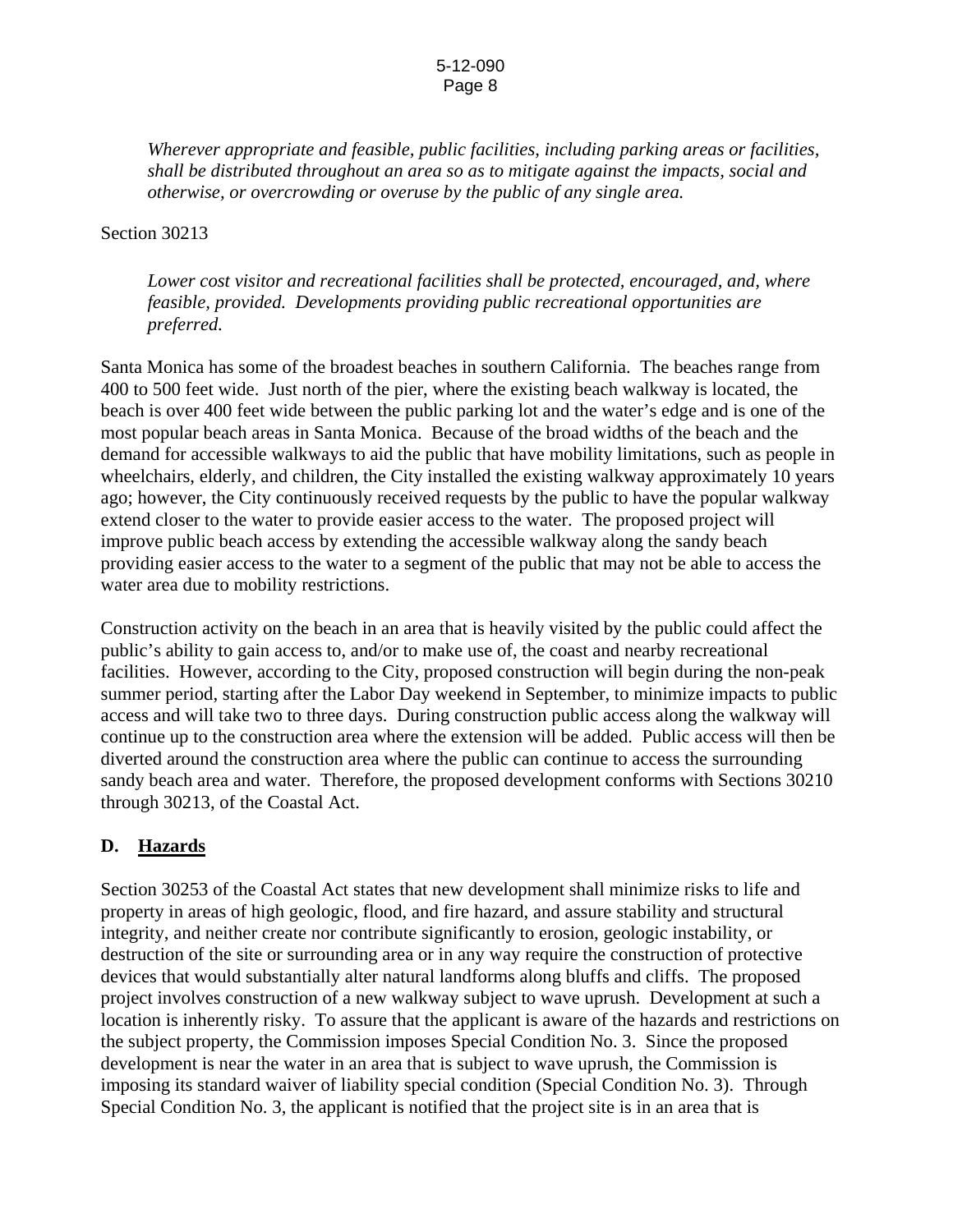#### 5-12-090 Page 8

*Wherever appropriate and feasible, public facilities, including parking areas or facilities, shall be distributed throughout an area so as to mitigate against the impacts, social and otherwise, or overcrowding or overuse by the public of any single area.* 

### Section 30213

*Lower cost visitor and recreational facilities shall be protected, encouraged, and, where feasible, provided. Developments providing public recreational opportunities are preferred.* 

Santa Monica has some of the broadest beaches in southern California. The beaches range from 400 to 500 feet wide. Just north of the pier, where the existing beach walkway is located, the beach is over 400 feet wide between the public parking lot and the water's edge and is one of the most popular beach areas in Santa Monica. Because of the broad widths of the beach and the demand for accessible walkways to aid the public that have mobility limitations, such as people in wheelchairs, elderly, and children, the City installed the existing walkway approximately 10 years ago; however, the City continuously received requests by the public to have the popular walkway extend closer to the water to provide easier access to the water. The proposed project will improve public beach access by extending the accessible walkway along the sandy beach providing easier access to the water to a segment of the public that may not be able to access the water area due to mobility restrictions.

Construction activity on the beach in an area that is heavily visited by the public could affect the public's ability to gain access to, and/or to make use of, the coast and nearby recreational facilities. However, according to the City, proposed construction will begin during the non-peak summer period, starting after the Labor Day weekend in September, to minimize impacts to public access and will take two to three days. During construction public access along the walkway will continue up to the construction area where the extension will be added. Public access will then be diverted around the construction area where the public can continue to access the surrounding sandy beach area and water. Therefore, the proposed development conforms with Sections 30210 through 30213, of the Coastal Act.

# **D. Hazards**

Section 30253 of the Coastal Act states that new development shall minimize risks to life and property in areas of high geologic, flood, and fire hazard, and assure stability and structural integrity, and neither create nor contribute significantly to erosion, geologic instability, or destruction of the site or surrounding area or in any way require the construction of protective devices that would substantially alter natural landforms along bluffs and cliffs. The proposed project involves construction of a new walkway subject to wave uprush. Development at such a location is inherently risky. To assure that the applicant is aware of the hazards and restrictions on the subject property, the Commission imposes Special Condition No. 3. Since the proposed development is near the water in an area that is subject to wave uprush, the Commission is imposing its standard waiver of liability special condition (Special Condition No. 3). Through Special Condition No. 3, the applicant is notified that the project site is in an area that is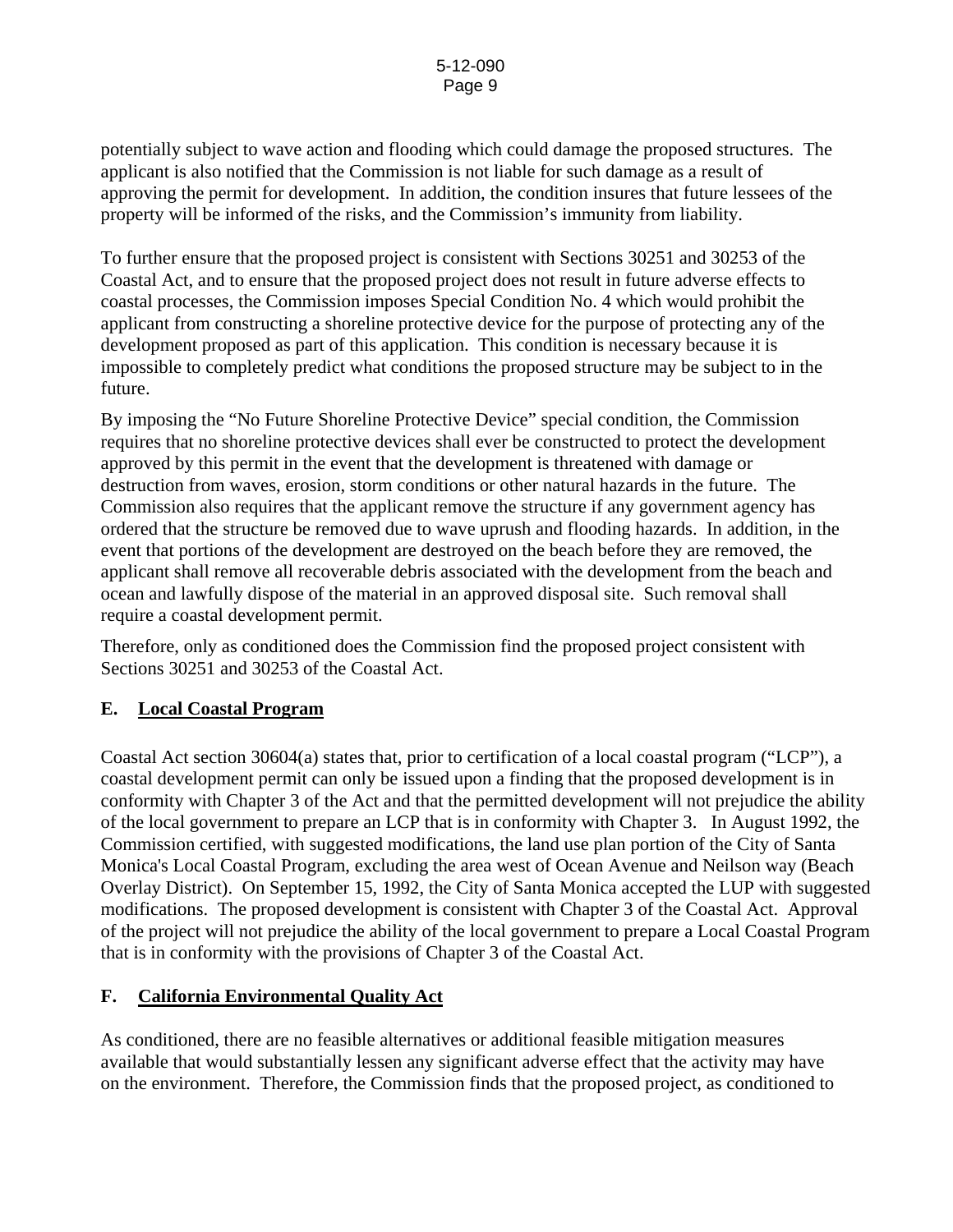potentially subject to wave action and flooding which could damage the proposed structures. The applicant is also notified that the Commission is not liable for such damage as a result of approving the permit for development. In addition, the condition insures that future lessees of the property will be informed of the risks, and the Commission's immunity from liability.

To further ensure that the proposed project is consistent with Sections 30251 and 30253 of the Coastal Act, and to ensure that the proposed project does not result in future adverse effects to coastal processes, the Commission imposes Special Condition No. 4 which would prohibit the applicant from constructing a shoreline protective device for the purpose of protecting any of the development proposed as part of this application. This condition is necessary because it is impossible to completely predict what conditions the proposed structure may be subject to in the future.

By imposing the "No Future Shoreline Protective Device" special condition, the Commission requires that no shoreline protective devices shall ever be constructed to protect the development approved by this permit in the event that the development is threatened with damage or destruction from waves, erosion, storm conditions or other natural hazards in the future. The Commission also requires that the applicant remove the structure if any government agency has ordered that the structure be removed due to wave uprush and flooding hazards. In addition, in the event that portions of the development are destroyed on the beach before they are removed, the applicant shall remove all recoverable debris associated with the development from the beach and ocean and lawfully dispose of the material in an approved disposal site. Such removal shall require a coastal development permit.

Therefore, only as conditioned does the Commission find the proposed project consistent with Sections 30251 and 30253 of the Coastal Act.

# **E. Local Coastal Program**

Coastal Act section 30604(a) states that, prior to certification of a local coastal program ("LCP"), a coastal development permit can only be issued upon a finding that the proposed development is in conformity with Chapter 3 of the Act and that the permitted development will not prejudice the ability of the local government to prepare an LCP that is in conformity with Chapter 3. In August 1992, the Commission certified, with suggested modifications, the land use plan portion of the City of Santa Monica's Local Coastal Program, excluding the area west of Ocean Avenue and Neilson way (Beach Overlay District). On September 15, 1992, the City of Santa Monica accepted the LUP with suggested modifications. The proposed development is consistent with Chapter 3 of the Coastal Act. Approval of the project will not prejudice the ability of the local government to prepare a Local Coastal Program that is in conformity with the provisions of Chapter 3 of the Coastal Act.

# **F. California Environmental Quality Act**

As conditioned, there are no feasible alternatives or additional feasible mitigation measures available that would substantially lessen any significant adverse effect that the activity may have on the environment. Therefore, the Commission finds that the proposed project, as conditioned to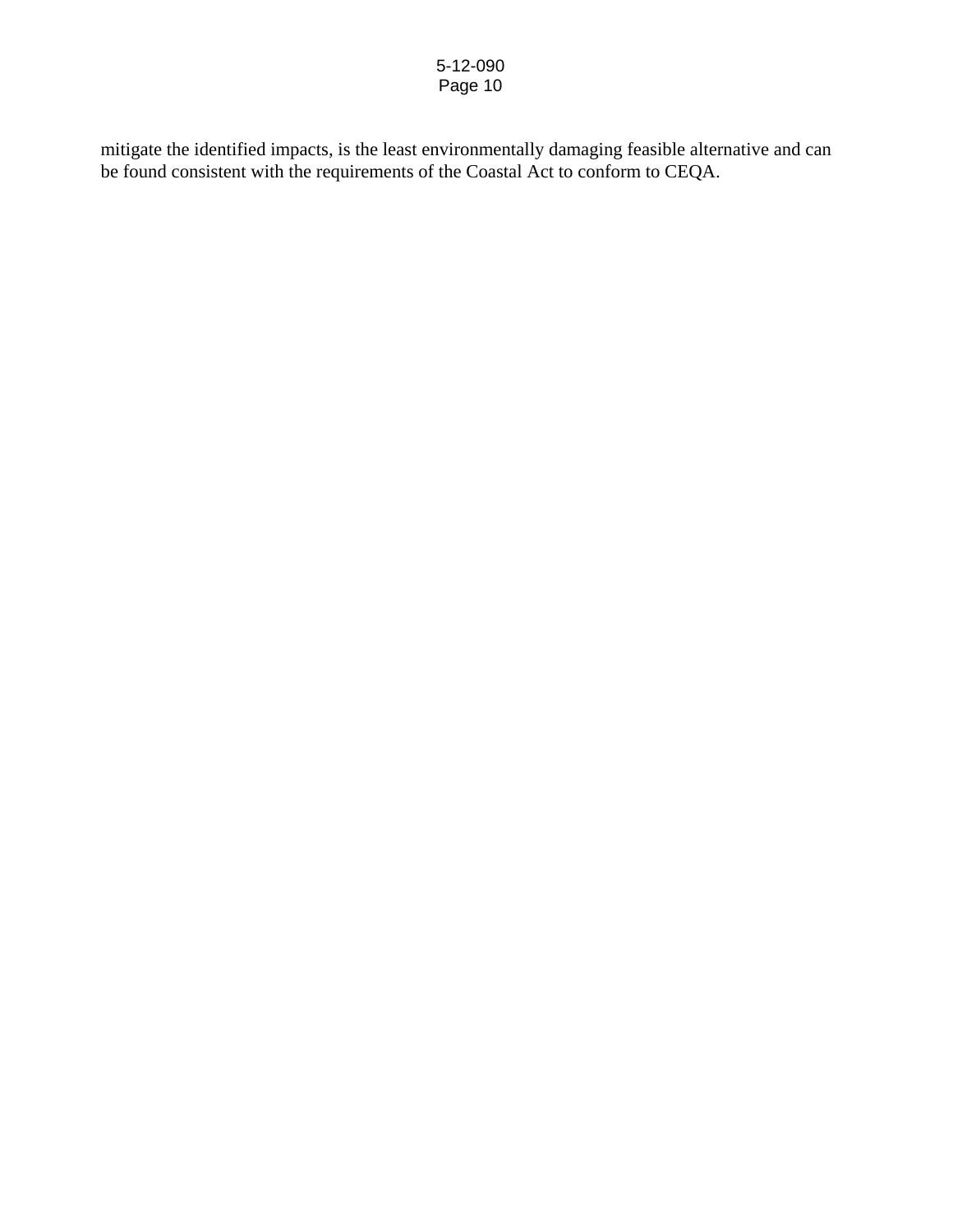mitigate the identified impacts, is the least environmentally damaging feasible alternative and can be found consistent with the requirements of the Coastal Act to conform to CEQA.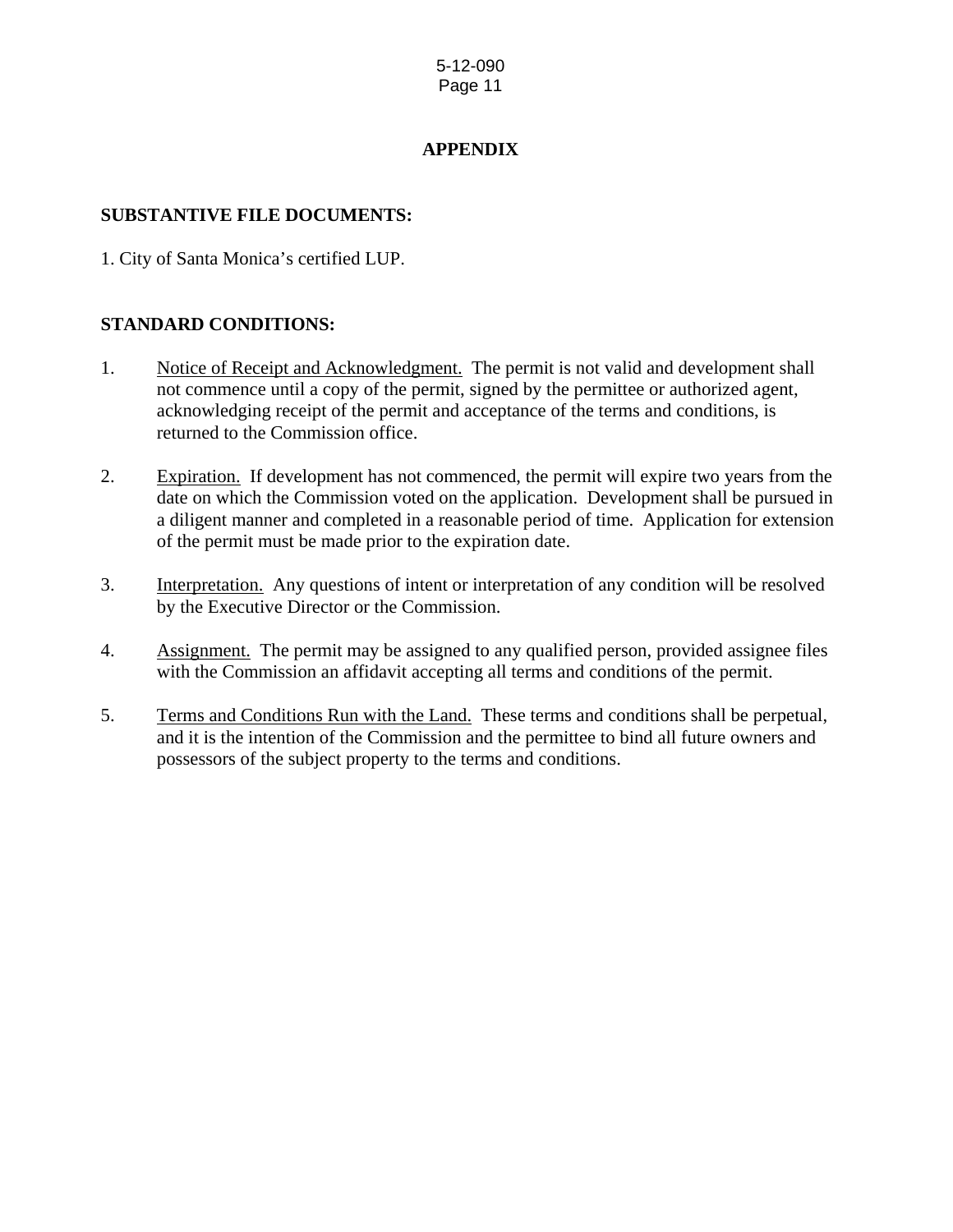# **APPENDIX**

# **SUBSTANTIVE FILE DOCUMENTS:**

1. City of Santa Monica's certified LUP.

# **STANDARD CONDITIONS:**

- 1. Notice of Receipt and Acknowledgment. The permit is not valid and development shall not commence until a copy of the permit, signed by the permittee or authorized agent, acknowledging receipt of the permit and acceptance of the terms and conditions, is returned to the Commission office.
- 2. Expiration. If development has not commenced, the permit will expire two years from the date on which the Commission voted on the application. Development shall be pursued in a diligent manner and completed in a reasonable period of time. Application for extension of the permit must be made prior to the expiration date.
- 3. Interpretation. Any questions of intent or interpretation of any condition will be resolved by the Executive Director or the Commission.
- 4. Assignment. The permit may be assigned to any qualified person, provided assignee files with the Commission an affidavit accepting all terms and conditions of the permit.
- 5. Terms and Conditions Run with the Land. These terms and conditions shall be perpetual, and it is the intention of the Commission and the permittee to bind all future owners and possessors of the subject property to the terms and conditions.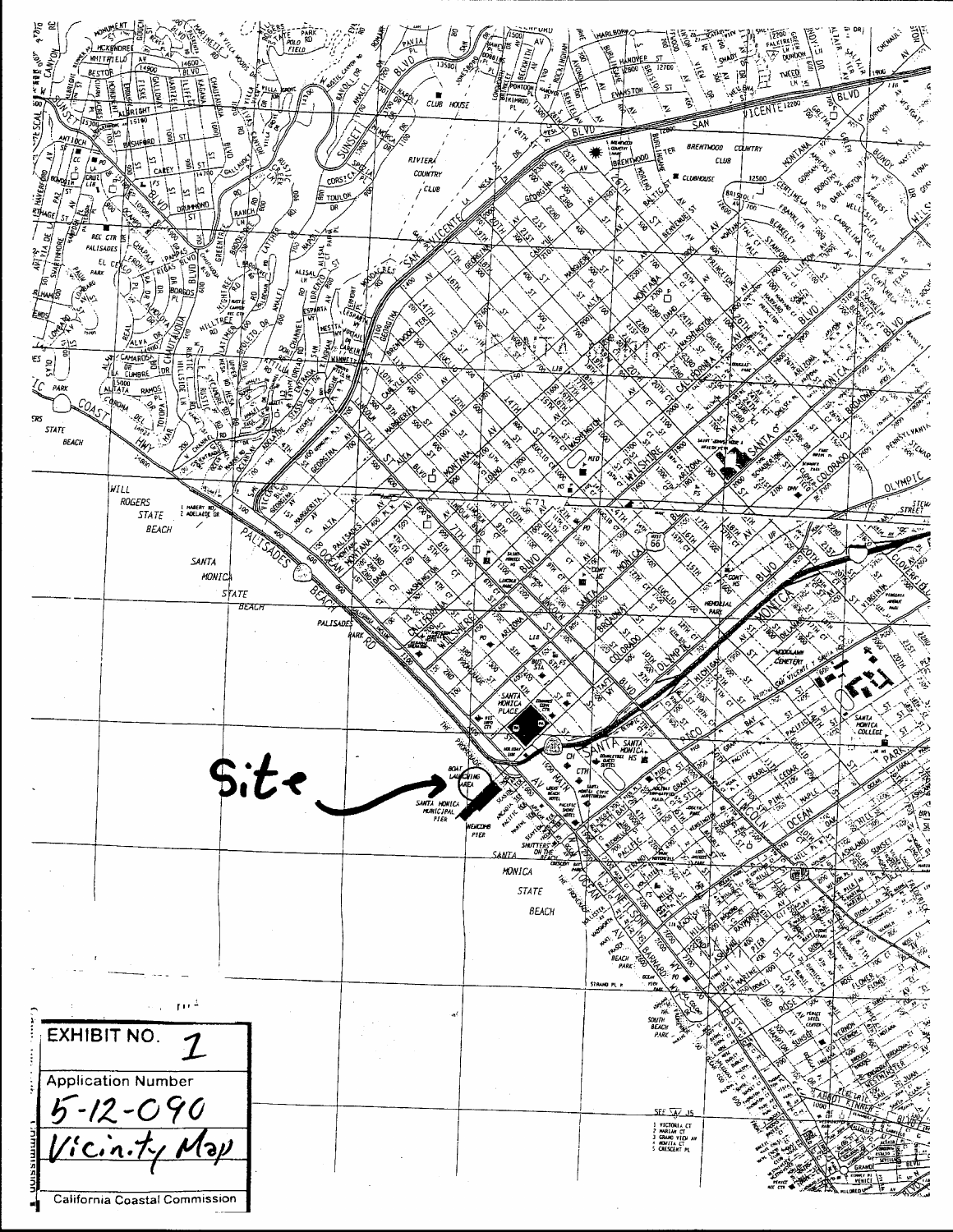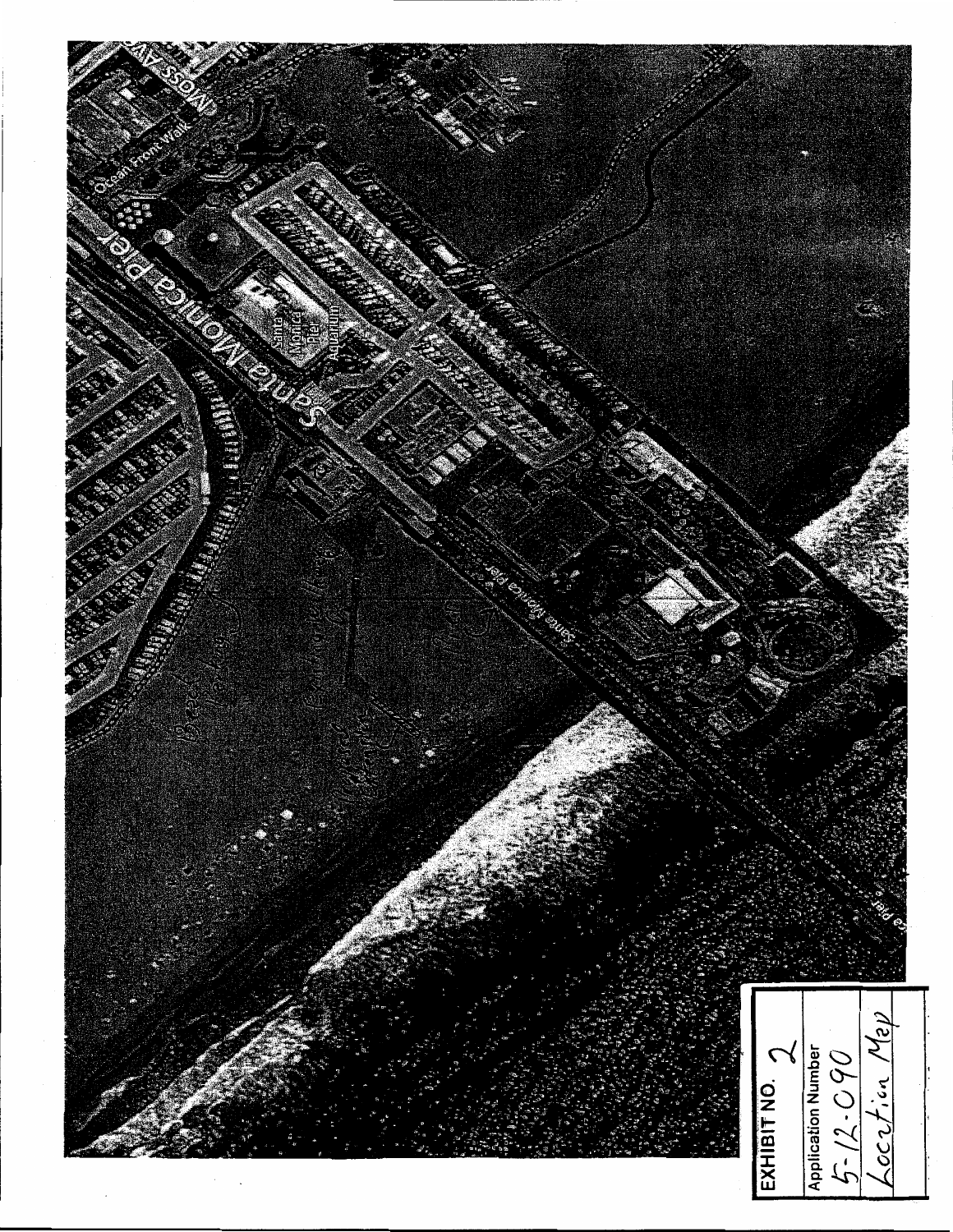